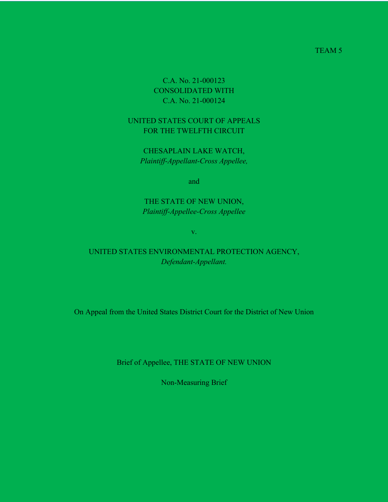TEAM 5

C.A. No. 21-000123 CONSOLIDATED WITH C.A. No. 21-000124

UNITED STATES COURT OF APPEALS FOR THE TWELFTH CIRCUIT

CHESAPLAIN LAKE WATCH, *Plaintiff-Appellant-Cross Appellee,*

and

THE STATE OF NEW UNION, *Plaintiff-Appellee-Cross Appellee*

v.

UNITED STATES ENVIRONMENTAL PROTECTION AGENCY, *Defendant-Appellant.*

On Appeal from the United States District Court for the District of New Union

Brief of Appellee, THE STATE OF NEW UNION

Non-Measuring Brief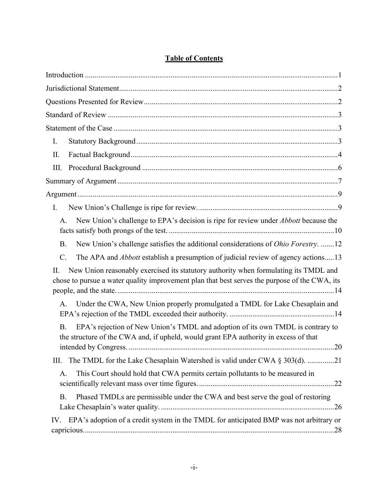| I.                                                                                                                                                                                          |
|---------------------------------------------------------------------------------------------------------------------------------------------------------------------------------------------|
| II.                                                                                                                                                                                         |
| Ш.                                                                                                                                                                                          |
|                                                                                                                                                                                             |
|                                                                                                                                                                                             |
| I.                                                                                                                                                                                          |
| New Union's challenge to EPA's decision is ripe for review under <i>Abbott</i> because the<br>A.                                                                                            |
| New Union's challenge satisfies the additional considerations of <i>Ohio Forestry</i> . 12<br><b>B.</b>                                                                                     |
| The APA and <i>Abbott</i> establish a presumption of judicial review of agency actions13<br>$C$ .                                                                                           |
| New Union reasonably exercised its statutory authority when formulating its TMDL and<br>Π.<br>chose to pursue a water quality improvement plan that best serves the purpose of the CWA, its |
| Under the CWA, New Union properly promulgated a TMDL for Lake Chesaplain and<br>A.                                                                                                          |
| EPA's rejection of New Union's TMDL and adoption of its own TMDL is contrary to<br><b>B.</b><br>the structure of the CWA and, if upheld, would grant EPA authority in excess of that        |
| The TMDL for the Lake Chesaplain Watershed is valid under CWA $\S 303(d)$ . 21<br>Ш.                                                                                                        |
| This Court should hold that CWA permits certain pollutants to be measured in<br>A.                                                                                                          |
| Phased TMDLs are permissible under the CWA and best serve the goal of restoring<br><b>B.</b>                                                                                                |
| EPA's adoption of a credit system in the TMDL for anticipated BMP was not arbitrary or<br>IV.                                                                                               |

# **Table of Contents**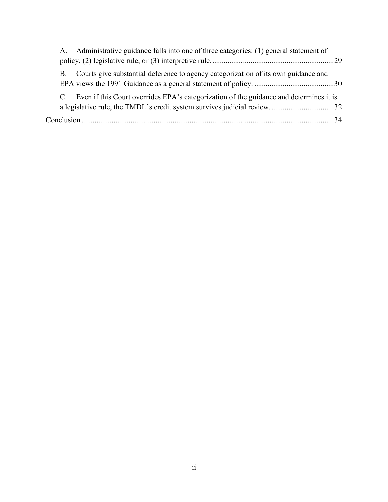|    | A. Administrative guidance falls into one of three categories: (1) general statement of   |  |
|----|-------------------------------------------------------------------------------------------|--|
|    |                                                                                           |  |
| B. | Courts give substantial deference to agency categorization of its own guidance and        |  |
|    | C. Even if this Court overrides EPA's categorization of the guidance and determines it is |  |
|    |                                                                                           |  |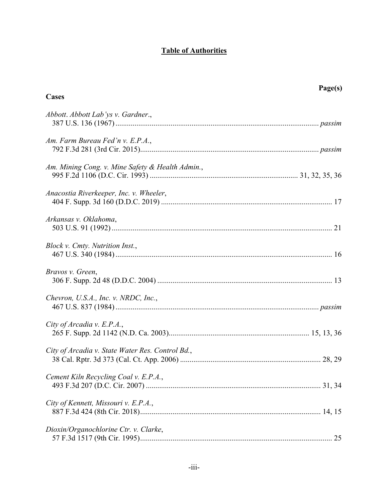# **Table of Authorities**

| Cases                                            | Page(s) |
|--------------------------------------------------|---------|
| Abbott. Abbott Lab'ys v. Gardner.,               |         |
| Am. Farm Bureau Fed'n v. E.P.A.,                 |         |
| Am. Mining Cong. v. Mine Safety & Health Admin., |         |
| Anacostia Riverkeeper, Inc. v. Wheeler,          |         |
| Arkansas v. Oklahoma,                            |         |
| Block v. Cmty. Nutrition Inst.,                  |         |
| Bravos v. Green,                                 |         |
| Chevron, U.S.A., Inc. v. NRDC, Inc.,             |         |
| City of Arcadia v. E.P.A.,                       |         |
| City of Arcadia v. State Water Res. Control Bd., |         |
| Cement Kiln Recycling Coal v. E.P.A.,            |         |
| City of Kennett, Missouri v. E.P.A.,             |         |
| Dioxin/Organochlorine Ctr. v. Clarke,            |         |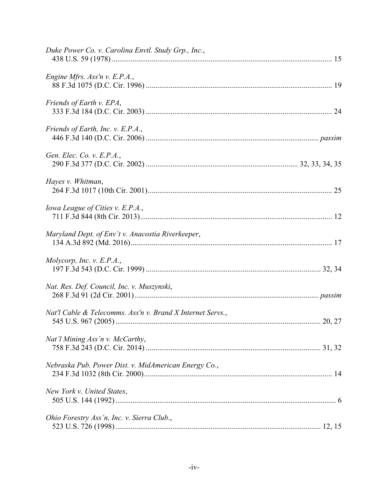| Duke Power Co. v. Carolina Envtl. Study Grp., Inc.,        |
|------------------------------------------------------------|
| Engine Mfrs. Ass'n v. E.P.A.,                              |
| Friends of Earth v. EPA,                                   |
| Friends of Earth, Inc. v. E.P.A.,                          |
| Gen. Elec. Co. v. E.P.A.,                                  |
| Hayes v. Whitman,                                          |
| Iowa League of Cities v. E.P.A.,                           |
| Maryland Dept. of Env't v. Anacostia Riverkeeper,          |
| Molycorp, Inc. v. $E.P.A.,$                                |
| Nat. Res. Def. Council, Inc. v. Muszynski,                 |
| Nat'l Cable & Telecomms. Ass'n v. Brand X Internet Servs., |
| Nat'l Mining Ass'n v. McCarthy,                            |
| Nebraska Pub. Power Dist. v. MidAmerican Energy Co.,       |
| New York v. United States,                                 |
| Ohio Forestry Ass'n, Inc. v. Sierra Club.,                 |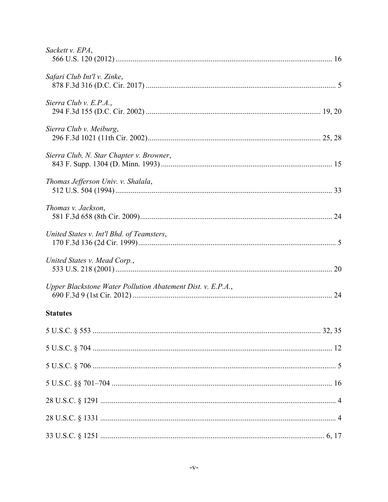| Sackett v. EPA,                                             |
|-------------------------------------------------------------|
| Safari Club Int'l v. Zinke,                                 |
| Sierra Club v. E.P.A.,                                      |
| Sierra Club v. Meiburg,                                     |
| Sierra Club, N. Star Chapter v. Browner,                    |
| Thomas Jefferson Univ. v. Shalala,                          |
| Thomas v. Jackson,                                          |
| United States v. Int'l Bhd. of Teamsters,                   |
| United States v. Mead Corp.,                                |
| Upper Blackstone Water Pollution Abatement Dist. v. E.P.A., |
| <b>Statutes</b>                                             |
|                                                             |
|                                                             |
|                                                             |
|                                                             |
|                                                             |
|                                                             |
|                                                             |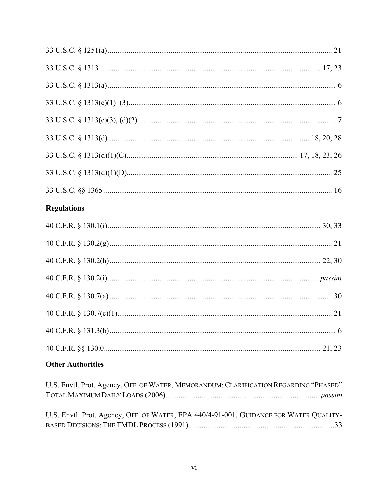| <b>Regulations</b>                                                                     |
|----------------------------------------------------------------------------------------|
|                                                                                        |
|                                                                                        |
|                                                                                        |
|                                                                                        |
|                                                                                        |
|                                                                                        |
|                                                                                        |
|                                                                                        |
| <b>Other Authorities</b>                                                               |
| U.S. Envtl. Prot. Agency, OFF. OF WATER, MEMORANDUM: CLARIFICATION REGARDING "PHASED"  |
| U.S. Envtl. Prot. Agency, OFF. OF WATER, EPA 440/4-91-001, GUIDANCE FOR WATER QUALITY- |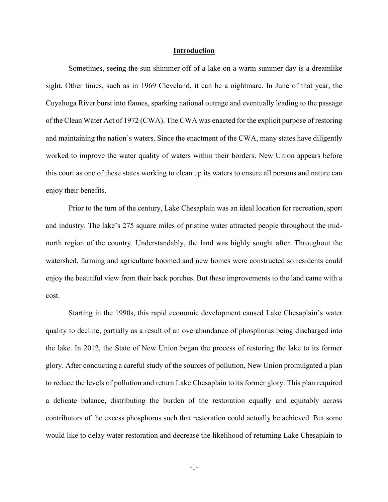#### **Introduction**

Sometimes, seeing the sun shimmer off of a lake on a warm summer day is a dreamlike sight. Other times, such as in 1969 Cleveland, it can be a nightmare. In June of that year, the Cuyahoga River burst into flames, sparking national outrage and eventually leading to the passage of the Clean Water Act of 1972 (CWA). The CWA was enacted for the explicit purpose of restoring and maintaining the nation's waters. Since the enactment of the CWA, many states have diligently worked to improve the water quality of waters within their borders. New Union appears before this court as one of these states working to clean up its waters to ensure all persons and nature can enjoy their benefits.

Prior to the turn of the century, Lake Chesaplain was an ideal location for recreation, sport and industry. The lake's 275 square miles of pristine water attracted people throughout the midnorth region of the country. Understandably, the land was highly sought after. Throughout the watershed, farming and agriculture boomed and new homes were constructed so residents could enjoy the beautiful view from their back porches. But these improvements to the land came with a cost.

Starting in the 1990s, this rapid economic development caused Lake Chesaplain's water quality to decline, partially as a result of an overabundance of phosphorus being discharged into the lake. In 2012, the State of New Union began the process of restoring the lake to its former glory. After conducting a careful study of the sources of pollution, New Union promulgated a plan to reduce the levels of pollution and return Lake Chesaplain to its former glory. This plan required a delicate balance, distributing the burden of the restoration equally and equitably across contributors of the excess phosphorus such that restoration could actually be achieved. But some would like to delay water restoration and decrease the likelihood of returning Lake Chesaplain to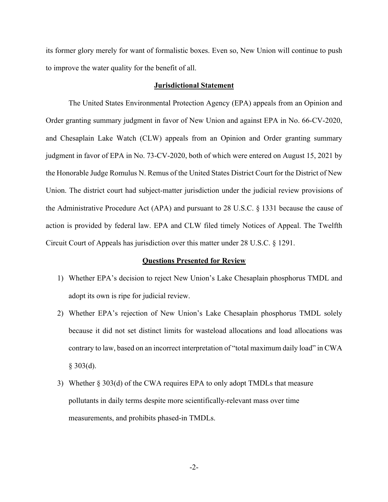its former glory merely for want of formalistic boxes. Even so, New Union will continue to push to improve the water quality for the benefit of all.

#### **Jurisdictional Statement**

The United States Environmental Protection Agency (EPA) appeals from an Opinion and Order granting summary judgment in favor of New Union and against EPA in No. 66-CV-2020, and Chesaplain Lake Watch (CLW) appeals from an Opinion and Order granting summary judgment in favor of EPA in No. 73-CV-2020, both of which were entered on August 15, 2021 by the Honorable Judge Romulus N. Remus of the United States District Court for the District of New Union. The district court had subject-matter jurisdiction under the judicial review provisions of the Administrative Procedure Act (APA) and pursuant to 28 U.S.C. § 1331 because the cause of action is provided by federal law. EPA and CLW filed timely Notices of Appeal. The Twelfth Circuit Court of Appeals has jurisdiction over this matter under 28 U.S.C. § 1291.

#### **Questions Presented for Review**

- 1) Whether EPA's decision to reject New Union's Lake Chesaplain phosphorus TMDL and adopt its own is ripe for judicial review.
- 2) Whether EPA's rejection of New Union's Lake Chesaplain phosphorus TMDL solely because it did not set distinct limits for wasteload allocations and load allocations was contrary to law, based on an incorrect interpretation of "total maximum daily load" in CWA  $§$  303(d).
- 3) Whether § 303(d) of the CWA requires EPA to only adopt TMDLs that measure pollutants in daily terms despite more scientifically-relevant mass over time measurements, and prohibits phased-in TMDLs.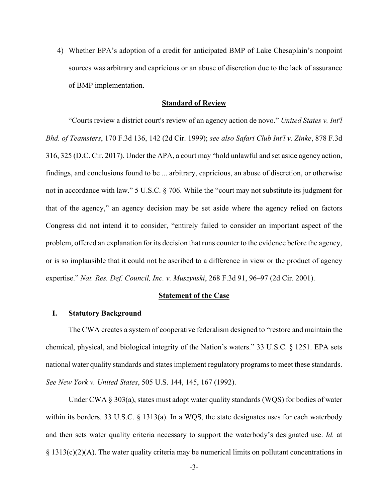4) Whether EPA's adoption of a credit for anticipated BMP of Lake Chesaplain's nonpoint sources was arbitrary and capricious or an abuse of discretion due to the lack of assurance of BMP implementation.

#### **Standard of Review**

"Courts review a district court's review of an agency action de novo." *United States v. Int'l Bhd. of Teamsters*, 170 F.3d 136, 142 (2d Cir. 1999); *see also Safari Club Int'l v. Zinke*, 878 F.3d 316, 325 (D.C. Cir. 2017). Under the APA, a court may "hold unlawful and set aside agency action, findings, and conclusions found to be ... arbitrary, capricious, an abuse of discretion, or otherwise not in accordance with law." 5 U.S.C. § 706. While the "court may not substitute its judgment for that of the agency," an agency decision may be set aside where the agency relied on factors Congress did not intend it to consider, "entirely failed to consider an important aspect of the problem, offered an explanation for its decision that runs counter to the evidence before the agency, or is so implausible that it could not be ascribed to a difference in view or the product of agency expertise." *Nat. Res. Def. Council, Inc. v. Muszynski*, 268 F.3d 91, 96–97 (2d Cir. 2001).

#### **Statement of the Case**

#### **I. Statutory Background**

The CWA creates a system of cooperative federalism designed to "restore and maintain the chemical, physical, and biological integrity of the Nation's waters." 33 U.S.C. § 1251. EPA sets national water quality standards and states implement regulatory programs to meet these standards. *See New York v. United States*, 505 U.S. 144, 145, 167 (1992).

Under CWA § 303(a), states must adopt water quality standards (WQS) for bodies of water within its borders. 33 U.S.C. § 1313(a). In a WQS, the state designates uses for each waterbody and then sets water quality criteria necessary to support the waterbody's designated use. *Id.* at § 1313(c)(2)(A). The water quality criteria may be numerical limits on pollutant concentrations in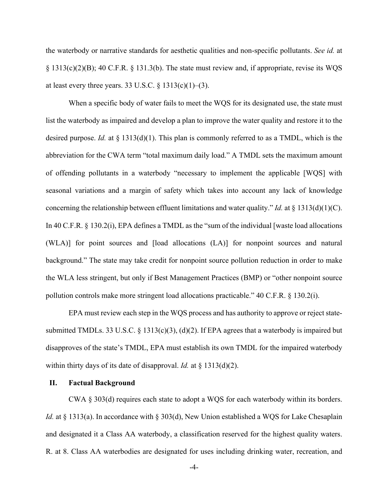the waterbody or narrative standards for aesthetic qualities and non-specific pollutants. *See id.* at § 1313(c)(2)(B); 40 C.F.R. § 131.3(b). The state must review and, if appropriate, revise its WQS at least every three years. 33 U.S.C.  $\S$  1313(c)(1)–(3).

When a specific body of water fails to meet the WQS for its designated use, the state must list the waterbody as impaired and develop a plan to improve the water quality and restore it to the desired purpose. *Id.* at § 1313(d)(1). This plan is commonly referred to as a TMDL, which is the abbreviation for the CWA term "total maximum daily load." A TMDL sets the maximum amount of offending pollutants in a waterbody "necessary to implement the applicable [WQS] with seasonal variations and a margin of safety which takes into account any lack of knowledge concerning the relationship between effluent limitations and water quality." *Id.* at § 1313(d)(1)(C). In 40 C.F.R. § 130.2(i), EPA defines a TMDL as the "sum of the individual [waste load allocations (WLA)] for point sources and [load allocations (LA)] for nonpoint sources and natural background." The state may take credit for nonpoint source pollution reduction in order to make the WLA less stringent, but only if Best Management Practices (BMP) or "other nonpoint source pollution controls make more stringent load allocations practicable." 40 C.F.R. § 130.2(i).

EPA must review each step in the WQS process and has authority to approve or reject statesubmitted TMDLs. 33 U.S.C. § 1313(c)(3), (d)(2). If EPA agrees that a waterbody is impaired but disapproves of the state's TMDL, EPA must establish its own TMDL for the impaired waterbody within thirty days of its date of disapproval. *Id.* at § 1313(d)(2).

### **II. Factual Background**

CWA § 303(d) requires each state to adopt a WQS for each waterbody within its borders. *Id.* at § 1313(a). In accordance with § 303(d), New Union established a WQS for Lake Chesaplain and designated it a Class AA waterbody, a classification reserved for the highest quality waters. R. at 8. Class AA waterbodies are designated for uses including drinking water, recreation, and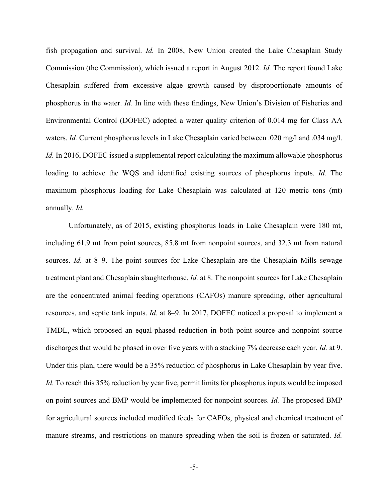fish propagation and survival. *Id.* In 2008, New Union created the Lake Chesaplain Study Commission (the Commission), which issued a report in August 2012. *Id.* The report found Lake Chesaplain suffered from excessive algae growth caused by disproportionate amounts of phosphorus in the water. *Id.* In line with these findings, New Union's Division of Fisheries and Environmental Control (DOFEC) adopted a water quality criterion of 0.014 mg for Class AA waters. *Id.* Current phosphorus levels in Lake Chesaplain varied between .020 mg/l and .034 mg/l. *Id.* In 2016, DOFEC issued a supplemental report calculating the maximum allowable phosphorus loading to achieve the WQS and identified existing sources of phosphorus inputs. *Id.* The maximum phosphorus loading for Lake Chesaplain was calculated at 120 metric tons (mt) annually. *Id.*

Unfortunately, as of 2015, existing phosphorus loads in Lake Chesaplain were 180 mt, including 61.9 mt from point sources, 85.8 mt from nonpoint sources, and 32.3 mt from natural sources. *Id.* at 8–9. The point sources for Lake Chesaplain are the Chesaplain Mills sewage treatment plant and Chesaplain slaughterhouse. *Id.* at 8. The nonpoint sources for Lake Chesaplain are the concentrated animal feeding operations (CAFOs) manure spreading, other agricultural resources, and septic tank inputs. *Id.* at 8–9. In 2017, DOFEC noticed a proposal to implement a TMDL, which proposed an equal-phased reduction in both point source and nonpoint source discharges that would be phased in over five years with a stacking 7% decrease each year. *Id.* at 9. Under this plan, there would be a 35% reduction of phosphorus in Lake Chesaplain by year five. *Id.* To reach this 35% reduction by year five, permit limits for phosphorus inputs would be imposed on point sources and BMP would be implemented for nonpoint sources. *Id.* The proposed BMP for agricultural sources included modified feeds for CAFOs, physical and chemical treatment of manure streams, and restrictions on manure spreading when the soil is frozen or saturated. *Id.*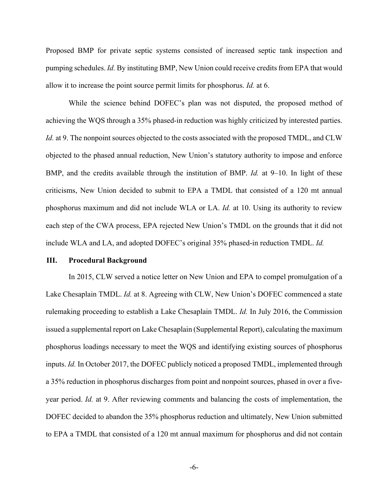Proposed BMP for private septic systems consisted of increased septic tank inspection and pumping schedules. *Id.* By instituting BMP, New Union could receive credits from EPA that would allow it to increase the point source permit limits for phosphorus. *Id.* at 6.

 While the science behind DOFEC's plan was not disputed, the proposed method of achieving the WQS through a 35% phased-in reduction was highly criticized by interested parties. *Id.* at 9. The nonpoint sources objected to the costs associated with the proposed TMDL, and CLW objected to the phased annual reduction, New Union's statutory authority to impose and enforce BMP, and the credits available through the institution of BMP. *Id.* at 9–10. In light of these criticisms, New Union decided to submit to EPA a TMDL that consisted of a 120 mt annual phosphorus maximum and did not include WLA or LA. *Id.* at 10. Using its authority to review each step of the CWA process, EPA rejected New Union's TMDL on the grounds that it did not include WLA and LA, and adopted DOFEC's original 35% phased-in reduction TMDL. *Id.*

#### **III. Procedural Background**

In 2015, CLW served a notice letter on New Union and EPA to compel promulgation of a Lake Chesaplain TMDL. *Id.* at 8. Agreeing with CLW, New Union's DOFEC commenced a state rulemaking proceeding to establish a Lake Chesaplain TMDL. *Id.* In July 2016, the Commission issued a supplemental report on Lake Chesaplain (Supplemental Report), calculating the maximum phosphorus loadings necessary to meet the WQS and identifying existing sources of phosphorus inputs. *Id.* In October 2017, the DOFEC publicly noticed a proposed TMDL, implemented through a 35% reduction in phosphorus discharges from point and nonpoint sources, phased in over a fiveyear period. *Id.* at 9. After reviewing comments and balancing the costs of implementation, the DOFEC decided to abandon the 35% phosphorus reduction and ultimately, New Union submitted to EPA a TMDL that consisted of a 120 mt annual maximum for phosphorus and did not contain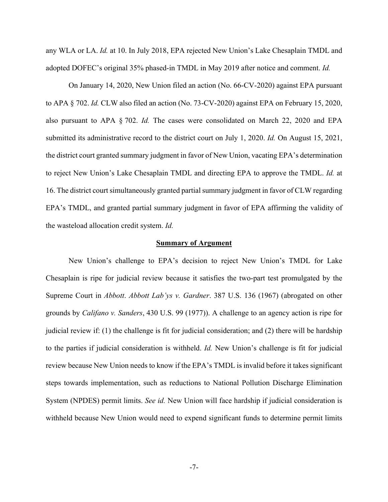any WLA or LA. *Id.* at 10. In July 2018, EPA rejected New Union's Lake Chesaplain TMDL and adopted DOFEC's original 35% phased-in TMDL in May 2019 after notice and comment. *Id.*

On January 14, 2020, New Union filed an action (No. 66-CV-2020) against EPA pursuant to APA § 702. *Id.* CLW also filed an action (No. 73-CV-2020) against EPA on February 15, 2020, also pursuant to APA § 702. *Id.* The cases were consolidated on March 22, 2020 and EPA submitted its administrative record to the district court on July 1, 2020. *Id.* On August 15, 2021, the district court granted summary judgment in favor of New Union, vacating EPA's determination to reject New Union's Lake Chesaplain TMDL and directing EPA to approve the TMDL. *Id.* at 16. The district court simultaneously granted partial summary judgment in favor of CLW regarding EPA's TMDL, and granted partial summary judgment in favor of EPA affirming the validity of the wasteload allocation credit system. *Id.*

#### **Summary of Argument**

New Union's challenge to EPA's decision to reject New Union's TMDL for Lake Chesaplain is ripe for judicial review because it satisfies the two-part test promulgated by the Supreme Court in *Abbott*. *Abbott Lab'ys v. Gardner*. 387 U.S. 136 (1967) (abrogated on other grounds by *Califano v. Sanders*, 430 U.S. 99 (1977)). A challenge to an agency action is ripe for judicial review if: (1) the challenge is fit for judicial consideration; and (2) there will be hardship to the parties if judicial consideration is withheld. *Id.* New Union's challenge is fit for judicial review because New Union needs to know if the EPA's TMDL is invalid before it takes significant steps towards implementation, such as reductions to National Pollution Discharge Elimination System (NPDES) permit limits. *See id.* New Union will face hardship if judicial consideration is withheld because New Union would need to expend significant funds to determine permit limits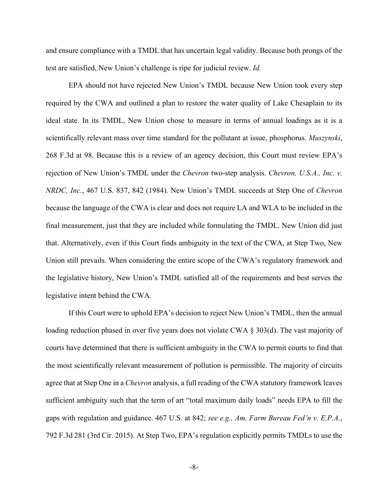and ensure compliance with a TMDL that has uncertain legal validity. Because both prongs of the test are satisfied, New Union's challenge is ripe for judicial review. *Id.*

EPA should not have rejected New Union's TMDL because New Union took every step required by the CWA and outlined a plan to restore the water quality of Lake Chesaplain to its ideal state. In its TMDL, New Union chose to measure in terms of annual loadings as it is a scientifically relevant mass over time standard for the pollutant at issue, phosphorus. *Muszynski*, 268 F.3d at 98. Because this is a review of an agency decision, this Court must review EPA's rejection of New Union's TMDL under the *Chevron* two-step analysis. *Chevron, U.S.A., Inc. v. NRDC, Inc.*, 467 U.S. 837, 842 (1984). New Union's TMDL succeeds at Step One of *Chevron*  because the language of the CWA is clear and does not require LA and WLA to be included in the final measurement, just that they are included while formulating the TMDL. New Union did just that. Alternatively, even if this Court finds ambiguity in the text of the CWA, at Step Two, New Union still prevails. When considering the entire scope of the CWA's regulatory framework and the legislative history, New Union's TMDL satisfied all of the requirements and best serves the legislative intent behind the CWA.

If this Court were to uphold EPA's decision to reject New Union's TMDL, then the annual loading reduction phased in over five years does not violate CWA § 303(d). The vast majority of courts have determined that there is sufficient ambiguity in the CWA to permit courts to find that the most scientifically relevant measurement of pollution is permissible. The majority of circuits agree that at Step One in a *Chevron* analysis, a full reading of the CWA statutory framework leaves sufficient ambiguity such that the term of art "total maximum daily loads" needs EPA to fill the gaps with regulation and guidance. 467 U.S. at 842; *see e.g., Am. Farm Bureau Fed'n v. E.P.A.*, 792 F.3d 281 (3rd Cir. 2015). At Step Two, EPA's regulation explicitly permits TMDLs to use the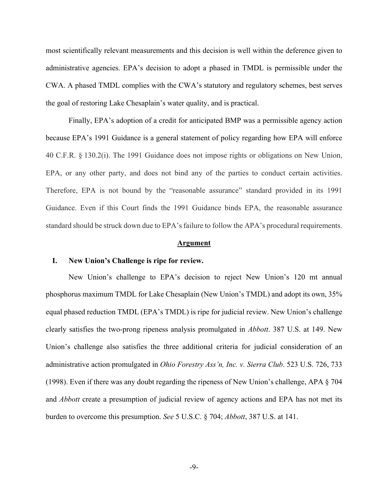most scientifically relevant measurements and this decision is well within the deference given to administrative agencies. EPA's decision to adopt a phased in TMDL is permissible under the CWA. A phased TMDL complies with the CWA's statutory and regulatory schemes, best serves the goal of restoring Lake Chesaplain's water quality, and is practical.

Finally, EPA's adoption of a credit for anticipated BMP was a permissible agency action because EPA's 1991 Guidance is a general statement of policy regarding how EPA will enforce 40 C.F.R. § 130.2(i). The 1991 Guidance does not impose rights or obligations on New Union, EPA, or any other party, and does not bind any of the parties to conduct certain activities. Therefore, EPA is not bound by the "reasonable assurance" standard provided in its 1991 Guidance. Even if this Court finds the 1991 Guidance binds EPA, the reasonable assurance standard should be struck down due to EPA's failure to follow the APA's procedural requirements.

#### **Argument**

#### **I. New Union's Challenge is ripe for review.**

New Union's challenge to EPA's decision to reject New Union's 120 mt annual phosphorus maximum TMDL for Lake Chesaplain (New Union's TMDL) and adopt its own, 35% equal phased reduction TMDL (EPA's TMDL) is ripe for judicial review. New Union's challenge clearly satisfies the two-prong ripeness analysis promulgated in *Abbott*. 387 U.S. at 149. New Union's challenge also satisfies the three additional criteria for judicial consideration of an administrative action promulgated in *Ohio Forestry Ass'n, Inc. v. Sierra Club*. 523 U.S. 726, 733 (1998). Even if there was any doubt regarding the ripeness of New Union's challenge, APA § 704 and *Abbott* create a presumption of judicial review of agency actions and EPA has not met its burden to overcome this presumption. *See* 5 U.S.C. § 704; *Abbott*, 387 U.S. at 141.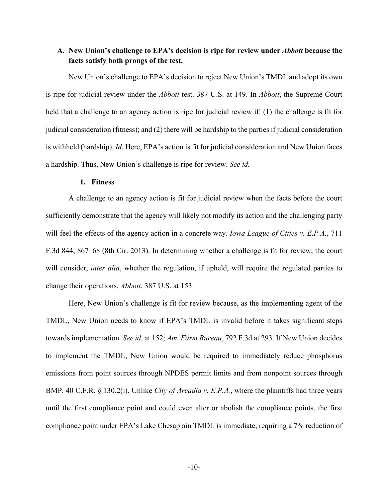## **A. New Union's challenge to EPA's decision is ripe for review under** *Abbott* **because the facts satisfy both prongs of the test.**

New Union's challenge to EPA's decision to reject New Union's TMDL and adopt its own is ripe for judicial review under the *Abbott* test. 387 U.S. at 149. In *Abbott*, the Supreme Court held that a challenge to an agency action is ripe for judicial review if: (1) the challenge is fit for judicial consideration (fitness); and (2) there will be hardship to the parties if judicial consideration is withheld (hardship). *Id*. Here, EPA's action is fit for judicial consideration and New Union faces a hardship. Thus, New Union's challenge is ripe for review. *See id.*

### **1. Fitness**

A challenge to an agency action is fit for judicial review when the facts before the court sufficiently demonstrate that the agency will likely not modify its action and the challenging party will feel the effects of the agency action in a concrete way. *Iowa League of Cities v. E.P.A.*, 711 F.3d 844, 867–68 (8th Cir. 2013). In determining whether a challenge is fit for review, the court will consider, *inter alia*, whether the regulation, if upheld, will require the regulated parties to change their operations. *Abbott*, 387 U.S. at 153.

Here, New Union's challenge is fit for review because, as the implementing agent of the TMDL, New Union needs to know if EPA's TMDL is invalid before it takes significant steps towards implementation. *See id.* at 152; *Am. Farm Bureau*, 792 F.3d at 293. If New Union decides to implement the TMDL, New Union would be required to immediately reduce phosphorus emissions from point sources through NPDES permit limits and from nonpoint sources through BMP. 40 C.F.R. § 130.2(i). Unlike *City of Arcadia v. E.P.A.*, where the plaintiffs had three years until the first compliance point and could even alter or abolish the compliance points, the first compliance point under EPA's Lake Chesaplain TMDL is immediate, requiring a 7% reduction of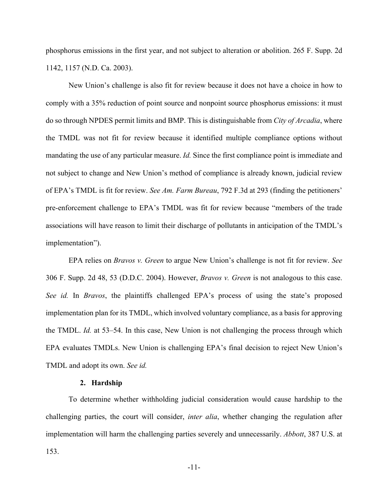phosphorus emissions in the first year, and not subject to alteration or abolition. 265 F. Supp. 2d 1142, 1157 (N.D. Ca. 2003).

New Union's challenge is also fit for review because it does not have a choice in how to comply with a 35% reduction of point source and nonpoint source phosphorus emissions: it must do so through NPDES permit limits and BMP. This is distinguishable from *City of Arcadia*, where the TMDL was not fit for review because it identified multiple compliance options without mandating the use of any particular measure. *Id.* Since the first compliance point is immediate and not subject to change and New Union's method of compliance is already known, judicial review of EPA's TMDL is fit for review. *See Am. Farm Bureau*, 792 F.3d at 293 (finding the petitioners' pre-enforcement challenge to EPA's TMDL was fit for review because "members of the trade associations will have reason to limit their discharge of pollutants in anticipation of the TMDL's implementation").

EPA relies on *Bravos v. Green* to argue New Union's challenge is not fit for review. *See*  306 F. Supp. 2d 48, 53 (D.D.C. 2004). However, *Bravos v. Green* is not analogous to this case. *See id.* In *Bravos*, the plaintiffs challenged EPA's process of using the state's proposed implementation plan for its TMDL, which involved voluntary compliance, as a basis for approving the TMDL. *Id.* at 53–54. In this case, New Union is not challenging the process through which EPA evaluates TMDLs. New Union is challenging EPA's final decision to reject New Union's TMDL and adopt its own. *See id.*

### **2. Hardship**

To determine whether withholding judicial consideration would cause hardship to the challenging parties, the court will consider, *inter alia*, whether changing the regulation after implementation will harm the challenging parties severely and unnecessarily. *Abbott*, 387 U.S. at 153.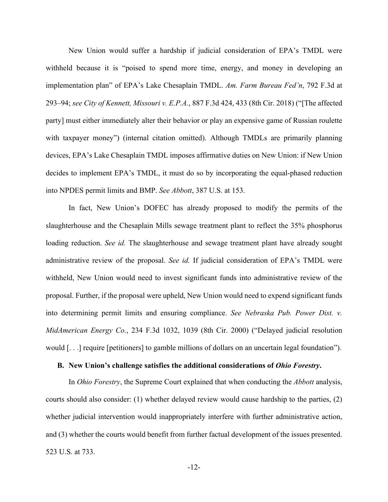New Union would suffer a hardship if judicial consideration of EPA's TMDL were withheld because it is "poised to spend more time, energy, and money in developing an implementation plan" of EPA's Lake Chesaplain TMDL. *Am. Farm Bureau Fed'n*, 792 F.3d at 293–94; *see City of Kennett, Missouri v. E.P.A.*, 887 F.3d 424, 433 (8th Cir. 2018) ("[The affected party] must either immediately alter their behavior or play an expensive game of Russian roulette with taxpayer money") (internal citation omitted). Although TMDLs are primarily planning devices, EPA's Lake Chesaplain TMDL imposes affirmative duties on New Union: if New Union decides to implement EPA's TMDL, it must do so by incorporating the equal-phased reduction into NPDES permit limits and BMP. *See Abbott*, 387 U.S. at 153.

In fact, New Union's DOFEC has already proposed to modify the permits of the slaughterhouse and the Chesaplain Mills sewage treatment plant to reflect the 35% phosphorus loading reduction. *See id.* The slaughterhouse and sewage treatment plant have already sought administrative review of the proposal. *See id.* If judicial consideration of EPA's TMDL were withheld, New Union would need to invest significant funds into administrative review of the proposal. Further, if the proposal were upheld, New Union would need to expend significant funds into determining permit limits and ensuring compliance. *See Nebraska Pub. Power Dist. v. MidAmerican Energy Co.*, 234 F.3d 1032, 1039 (8th Cir. 2000) ("Delayed judicial resolution would [. . .] require [petitioners] to gamble millions of dollars on an uncertain legal foundation").

### **B. New Union's challenge satisfies the additional considerations of** *Ohio Forestry***.**

In *Ohio Forestry*, the Supreme Court explained that when conducting the *Abbott* analysis, courts should also consider: (1) whether delayed review would cause hardship to the parties, (2) whether judicial intervention would inappropriately interfere with further administrative action, and (3) whether the courts would benefit from further factual development of the issues presented. 523 U.S. at 733.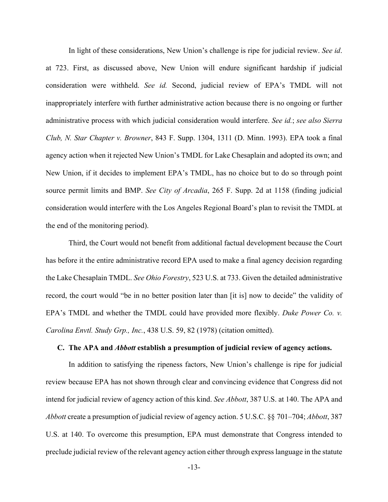In light of these considerations, New Union's challenge is ripe for judicial review. *See id*. at 723. First, as discussed above, New Union will endure significant hardship if judicial consideration were withheld. *See id.* Second, judicial review of EPA's TMDL will not inappropriately interfere with further administrative action because there is no ongoing or further administrative process with which judicial consideration would interfere. *See id.*; *see also Sierra Club, N. Star Chapter v. Browner*, 843 F. Supp. 1304, 1311 (D. Minn. 1993). EPA took a final agency action when it rejected New Union's TMDL for Lake Chesaplain and adopted its own; and New Union, if it decides to implement EPA's TMDL, has no choice but to do so through point source permit limits and BMP. *See City of Arcadia*, 265 F. Supp. 2d at 1158 (finding judicial consideration would interfere with the Los Angeles Regional Board's plan to revisit the TMDL at the end of the monitoring period).

Third, the Court would not benefit from additional factual development because the Court has before it the entire administrative record EPA used to make a final agency decision regarding the Lake Chesaplain TMDL. *See Ohio Forestry*, 523 U.S. at 733. Given the detailed administrative record, the court would "be in no better position later than [it is] now to decide" the validity of EPA's TMDL and whether the TMDL could have provided more flexibly. *Duke Power Co. v. Carolina Envtl. Study Grp., Inc.*, 438 U.S. 59, 82 (1978) (citation omitted).

### **C. The APA and** *Abbott* **establish a presumption of judicial review of agency actions.**

In addition to satisfying the ripeness factors, New Union's challenge is ripe for judicial review because EPA has not shown through clear and convincing evidence that Congress did not intend for judicial review of agency action of this kind. *See Abbott*, 387 U.S. at 140. The APA and *Abbott* create a presumption of judicial review of agency action. 5 U.S.C. §§ 701–704; *Abbott*, 387 U.S. at 140. To overcome this presumption, EPA must demonstrate that Congress intended to preclude judicial review of the relevant agency action either through express language in the statute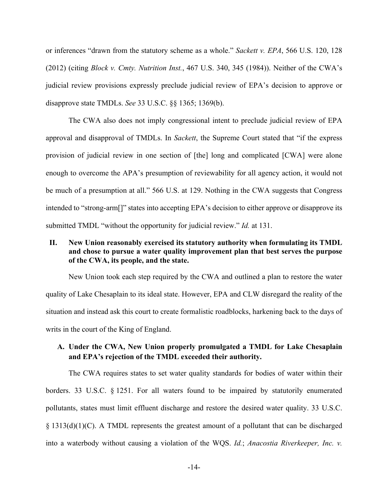or inferences "drawn from the statutory scheme as a whole." *Sackett v. EPA*, 566 U.S. 120, 128 (2012) (citing *Block v. Cmty. Nutrition Inst.*, 467 U.S. 340, 345 (1984)). Neither of the CWA's judicial review provisions expressly preclude judicial review of EPA's decision to approve or disapprove state TMDLs. *See* 33 U.S.C. §§ 1365; 1369(b).

The CWA also does not imply congressional intent to preclude judicial review of EPA approval and disapproval of TMDLs. In *Sackett*, the Supreme Court stated that "if the express provision of judicial review in one section of [the] long and complicated [CWA] were alone enough to overcome the APA's presumption of reviewability for all agency action, it would not be much of a presumption at all." 566 U.S. at 129. Nothing in the CWA suggests that Congress intended to "strong-arm[]" states into accepting EPA's decision to either approve or disapprove its submitted TMDL "without the opportunity for judicial review." *Id.* at 131.

## **II. New Union reasonably exercised its statutory authority when formulating its TMDL and chose to pursue a water quality improvement plan that best serves the purpose of the CWA, its people, and the state.**

New Union took each step required by the CWA and outlined a plan to restore the water quality of Lake Chesaplain to its ideal state. However, EPA and CLW disregard the reality of the situation and instead ask this court to create formalistic roadblocks, harkening back to the days of writs in the court of the King of England.

## **A. Under the CWA, New Union properly promulgated a TMDL for Lake Chesaplain and EPA's rejection of the TMDL exceeded their authority.**

The CWA requires states to set water quality standards for bodies of water within their borders. 33 U.S.C. § 1251. For all waters found to be impaired by statutorily enumerated pollutants, states must limit effluent discharge and restore the desired water quality. 33 U.S.C.  $\S 1313(d)(1)(C)$ . A TMDL represents the greatest amount of a pollutant that can be discharged into a waterbody without causing a violation of the WQS. *Id.*; *Anacostia Riverkeeper, Inc. v.*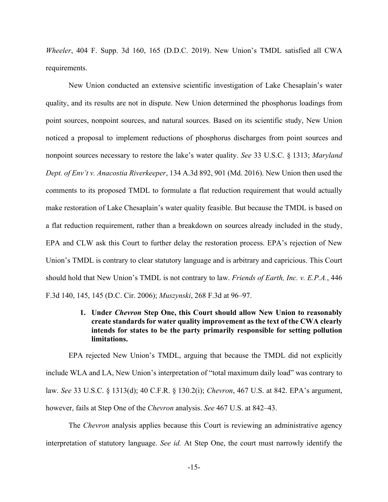*Wheeler*, 404 F. Supp. 3d 160, 165 (D.D.C. 2019). New Union's TMDL satisfied all CWA requirements.

New Union conducted an extensive scientific investigation of Lake Chesaplain's water quality, and its results are not in dispute. New Union determined the phosphorus loadings from point sources, nonpoint sources, and natural sources. Based on its scientific study, New Union noticed a proposal to implement reductions of phosphorus discharges from point sources and nonpoint sources necessary to restore the lake's water quality. *See* 33 U.S.C. § 1313; *Maryland Dept. of Env't v. Anacostia Riverkeeper*, 134 A.3d 892, 901 (Md. 2016). New Union then used the comments to its proposed TMDL to formulate a flat reduction requirement that would actually make restoration of Lake Chesaplain's water quality feasible. But because the TMDL is based on a flat reduction requirement, rather than a breakdown on sources already included in the study, EPA and CLW ask this Court to further delay the restoration process. EPA's rejection of New Union's TMDL is contrary to clear statutory language and is arbitrary and capricious. This Court should hold that New Union's TMDL is not contrary to law. *Friends of Earth, Inc. v. E.P.A.*, 446 F.3d 140, 145, 145 (D.C. Cir. 2006); *Muszynski*, 268 F.3d at 96–97.

## **1. Under** *Chevron* **Step One, this Court should allow New Union to reasonably create standards for water quality improvement as the text of the CWA clearly intends for states to be the party primarily responsible for setting pollution limitations.**

EPA rejected New Union's TMDL, arguing that because the TMDL did not explicitly include WLA and LA, New Union's interpretation of "total maximum daily load" was contrary to law. *See* 33 U.S.C. § 1313(d); 40 C.F.R. § 130.2(i); *Chevron*, 467 U.S. at 842. EPA's argument, however, fails at Step One of the *Chevron* analysis. *See* 467 U.S. at 842–43.

The *Chevron* analysis applies because this Court is reviewing an administrative agency interpretation of statutory language. *See id.* At Step One, the court must narrowly identify the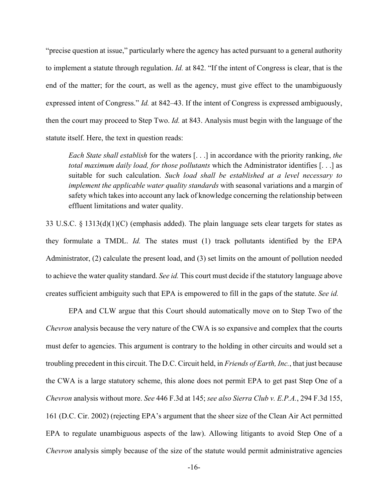"precise question at issue," particularly where the agency has acted pursuant to a general authority to implement a statute through regulation. *Id.* at 842. "If the intent of Congress is clear, that is the end of the matter; for the court, as well as the agency, must give effect to the unambiguously expressed intent of Congress." *Id.* at 842–43. If the intent of Congress is expressed ambiguously, then the court may proceed to Step Two. *Id.* at 843. Analysis must begin with the language of the statute itself. Here, the text in question reads:

*Each State shall establish* for the waters [. . .] in accordance with the priority ranking, *the total maximum daily load, for those pollutants* which the Administrator identifies [. . .] as suitable for such calculation. *Such load shall be established at a level necessary to implement the applicable water quality standards* with seasonal variations and a margin of safety which takes into account any lack of knowledge concerning the relationship between effluent limitations and water quality.

33 U.S.C. § 1313(d)(1)(C) (emphasis added). The plain language sets clear targets for states as they formulate a TMDL. *Id.* The states must (1) track pollutants identified by the EPA Administrator, (2) calculate the present load, and (3) set limits on the amount of pollution needed to achieve the water quality standard. *See id.* This court must decide if the statutory language above creates sufficient ambiguity such that EPA is empowered to fill in the gaps of the statute. *See id.*

EPA and CLW argue that this Court should automatically move on to Step Two of the *Chevron* analysis because the very nature of the CWA is so expansive and complex that the courts must defer to agencies. This argument is contrary to the holding in other circuits and would set a troubling precedent in this circuit. The D.C. Circuit held, in *Friends of Earth, Inc.*, that just because the CWA is a large statutory scheme, this alone does not permit EPA to get past Step One of a *Chevron* analysis without more. *See* 446 F.3d at 145; *see also Sierra Club v. E.P.A.*, 294 F.3d 155, 161 (D.C. Cir. 2002) (rejecting EPA's argument that the sheer size of the Clean Air Act permitted EPA to regulate unambiguous aspects of the law). Allowing litigants to avoid Step One of a *Chevron* analysis simply because of the size of the statute would permit administrative agencies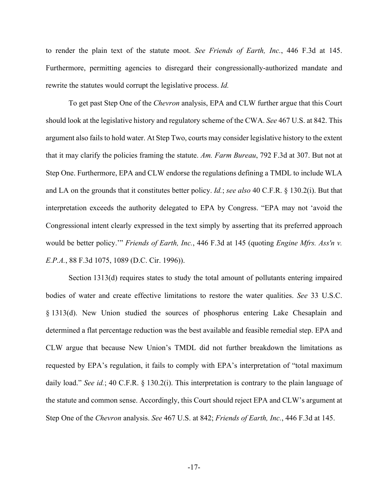to render the plain text of the statute moot. *See Friends of Earth, Inc.*, 446 F.3d at 145. Furthermore, permitting agencies to disregard their congressionally-authorized mandate and rewrite the statutes would corrupt the legislative process. *Id.*

To get past Step One of the *Chevron* analysis, EPA and CLW further argue that this Court should look at the legislative history and regulatory scheme of the CWA. *See* 467 U.S. at 842. This argument also fails to hold water. At Step Two, courts may consider legislative history to the extent that it may clarify the policies framing the statute. *Am. Farm Bureau*, 792 F.3d at 307. But not at Step One. Furthermore, EPA and CLW endorse the regulations defining a TMDL to include WLA and LA on the grounds that it constitutes better policy. *Id.*; *see also* 40 C.F.R. § 130.2(i). But that interpretation exceeds the authority delegated to EPA by Congress. "EPA may not 'avoid the Congressional intent clearly expressed in the text simply by asserting that its preferred approach would be better policy.'" *Friends of Earth, Inc.*, 446 F.3d at 145 (quoting *Engine Mfrs. Ass'n v. E.P.A.*, 88 F.3d 1075, 1089 (D.C. Cir. 1996)).

Section 1313(d) requires states to study the total amount of pollutants entering impaired bodies of water and create effective limitations to restore the water qualities. *See* 33 U.S.C. § 1313(d). New Union studied the sources of phosphorus entering Lake Chesaplain and determined a flat percentage reduction was the best available and feasible remedial step. EPA and CLW argue that because New Union's TMDL did not further breakdown the limitations as requested by EPA's regulation, it fails to comply with EPA's interpretation of "total maximum daily load." *See id.*; 40 C.F.R. § 130.2(i). This interpretation is contrary to the plain language of the statute and common sense. Accordingly, this Court should reject EPA and CLW's argument at Step One of the *Chevron* analysis. *See* 467 U.S. at 842; *Friends of Earth, Inc.*, 446 F.3d at 145.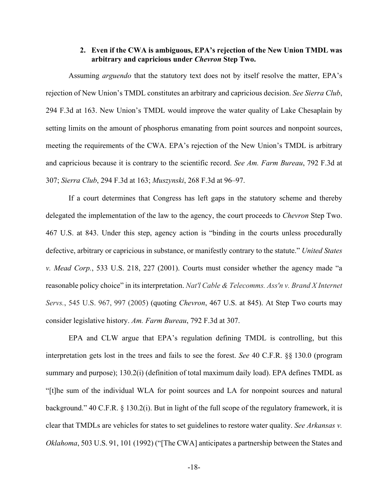## **2. Even if the CWA is ambiguous, EPA's rejection of the New Union TMDL was arbitrary and capricious under** *Chevron* **Step Two.**

Assuming *arguendo* that the statutory text does not by itself resolve the matter, EPA's rejection of New Union's TMDL constitutes an arbitrary and capricious decision. *See Sierra Club*, 294 F.3d at 163. New Union's TMDL would improve the water quality of Lake Chesaplain by setting limits on the amount of phosphorus emanating from point sources and nonpoint sources, meeting the requirements of the CWA. EPA's rejection of the New Union's TMDL is arbitrary and capricious because it is contrary to the scientific record. *See Am. Farm Bureau*, 792 F.3d at 307; *Sierra Club*, 294 F.3d at 163; *Muszynski*, 268 F.3d at 96–97.

If a court determines that Congress has left gaps in the statutory scheme and thereby delegated the implementation of the law to the agency, the court proceeds to *Chevron* Step Two. 467 U.S. at 843. Under this step, agency action is "binding in the courts unless procedurally defective, arbitrary or capricious in substance, or manifestly contrary to the statute." *United States v. Mead Corp.*, 533 U.S. 218, 227 (2001). Courts must consider whether the agency made "a reasonable policy choice" in its interpretation. *Nat'l Cable & Telecomms. Ass'n v. Brand X Internet Servs.*, 545 U.S. 967, 997 (2005) (quoting *Chevron*, 467 U.S. at 845). At Step Two courts may consider legislative history. *Am. Farm Bureau*, 792 F.3d at 307.

EPA and CLW argue that EPA's regulation defining TMDL is controlling, but this interpretation gets lost in the trees and fails to see the forest. *See* 40 C.F.R. §§ 130.0 (program summary and purpose); 130.2(i) (definition of total maximum daily load). EPA defines TMDL as "[t]he sum of the individual WLA for point sources and LA for nonpoint sources and natural background." 40 C.F.R. § 130.2(i). But in light of the full scope of the regulatory framework, it is clear that TMDLs are vehicles for states to set guidelines to restore water quality. *See Arkansas v. Oklahoma*, 503 U.S. 91, 101 (1992) ("[The CWA] anticipates a partnership between the States and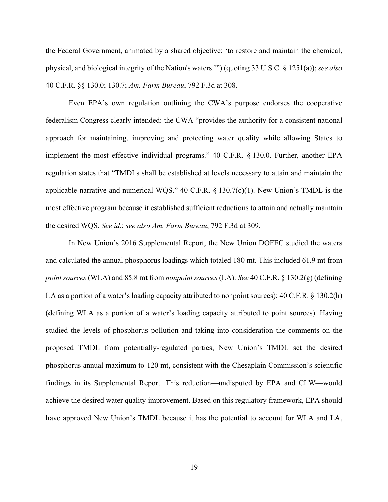the Federal Government, animated by a shared objective: 'to restore and maintain the chemical, physical, and biological integrity of the Nation's waters.'") (quoting 33 U.S.C. § 1251(a)); *see also*  40 C.F.R. §§ 130.0; 130.7; *Am. Farm Bureau*, 792 F.3d at 308.

Even EPA's own regulation outlining the CWA's purpose endorses the cooperative federalism Congress clearly intended: the CWA "provides the authority for a consistent national approach for maintaining, improving and protecting water quality while allowing States to implement the most effective individual programs." 40 C.F.R. § 130.0. Further, another EPA regulation states that "TMDLs shall be established at levels necessary to attain and maintain the applicable narrative and numerical WQS." 40 C.F.R.  $\S$  130.7(c)(1). New Union's TMDL is the most effective program because it established sufficient reductions to attain and actually maintain the desired WQS. *See id.*; *see also Am. Farm Bureau*, 792 F.3d at 309.

In New Union's 2016 Supplemental Report, the New Union DOFEC studied the waters and calculated the annual phosphorus loadings which totaled 180 mt. This included 61.9 mt from *point sources* (WLA) and 85.8 mt from *nonpoint sources* (LA). *See* 40 C.F.R. § 130.2(g) (defining LA as a portion of a water's loading capacity attributed to nonpoint sources); 40 C.F.R. § 130.2(h) (defining WLA as a portion of a water's loading capacity attributed to point sources). Having studied the levels of phosphorus pollution and taking into consideration the comments on the proposed TMDL from potentially-regulated parties, New Union's TMDL set the desired phosphorus annual maximum to 120 mt, consistent with the Chesaplain Commission's scientific findings in its Supplemental Report. This reduction—undisputed by EPA and CLW—would achieve the desired water quality improvement. Based on this regulatory framework, EPA should have approved New Union's TMDL because it has the potential to account for WLA and LA,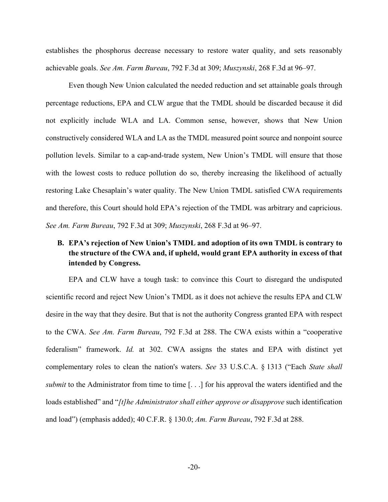establishes the phosphorus decrease necessary to restore water quality, and sets reasonably achievable goals. *See Am. Farm Bureau*, 792 F.3d at 309; *Muszynski*, 268 F.3d at 96–97.

Even though New Union calculated the needed reduction and set attainable goals through percentage reductions, EPA and CLW argue that the TMDL should be discarded because it did not explicitly include WLA and LA. Common sense, however, shows that New Union constructively considered WLA and LA as the TMDL measured point source and nonpoint source pollution levels. Similar to a cap-and-trade system, New Union's TMDL will ensure that those with the lowest costs to reduce pollution do so, thereby increasing the likelihood of actually restoring Lake Chesaplain's water quality. The New Union TMDL satisfied CWA requirements and therefore, this Court should hold EPA's rejection of the TMDL was arbitrary and capricious. *See Am. Farm Bureau*, 792 F.3d at 309; *Muszynski*, 268 F.3d at 96–97.

## **B. EPA's rejection of New Union's TMDL and adoption of its own TMDL is contrary to the structure of the CWA and, if upheld, would grant EPA authority in excess of that intended by Congress.**

EPA and CLW have a tough task: to convince this Court to disregard the undisputed scientific record and reject New Union's TMDL as it does not achieve the results EPA and CLW desire in the way that they desire. But that is not the authority Congress granted EPA with respect to the CWA. *See Am. Farm Bureau*, 792 F.3d at 288. The CWA exists within a "cooperative federalism" framework. *Id.* at 302. CWA assigns the states and EPA with distinct yet complementary roles to clean the nation's waters. *See* 33 U.S.C.A. § 1313 ("Each *State shall submit* to the Administrator from time to time [...] for his approval the waters identified and the loads established" and "*[t]he Administrator shall either approve or disapprove* such identification and load") (emphasis added); 40 C.F.R. § 130.0; *Am. Farm Bureau*, 792 F.3d at 288.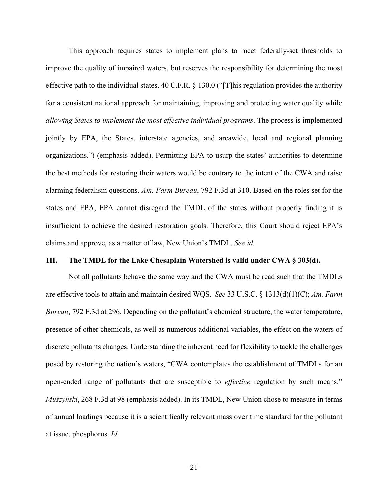This approach requires states to implement plans to meet federally-set thresholds to improve the quality of impaired waters, but reserves the responsibility for determining the most effective path to the individual states. 40 C.F.R. § 130.0 ("[T]his regulation provides the authority for a consistent national approach for maintaining, improving and protecting water quality while *allowing States to implement the most effective individual programs*. The process is implemented jointly by EPA, the States, interstate agencies, and areawide, local and regional planning organizations.") (emphasis added). Permitting EPA to usurp the states' authorities to determine the best methods for restoring their waters would be contrary to the intent of the CWA and raise alarming federalism questions. *Am. Farm Bureau*, 792 F.3d at 310. Based on the roles set for the states and EPA, EPA cannot disregard the TMDL of the states without properly finding it is insufficient to achieve the desired restoration goals. Therefore, this Court should reject EPA's claims and approve, as a matter of law, New Union's TMDL. *See id.*

### **III. The TMDL for the Lake Chesaplain Watershed is valid under CWA § 303(d).**

Not all pollutants behave the same way and the CWA must be read such that the TMDLs are effective tools to attain and maintain desired WQS. *See* 33 U.S.C. § 1313(d)(1)(C); *Am. Farm Bureau*, 792 F.3d at 296. Depending on the pollutant's chemical structure, the water temperature, presence of other chemicals, as well as numerous additional variables, the effect on the waters of discrete pollutants changes. Understanding the inherent need for flexibility to tackle the challenges posed by restoring the nation's waters, "CWA contemplates the establishment of TMDLs for an open-ended range of pollutants that are susceptible to *effective* regulation by such means." *Muszynski*, 268 F.3d at 98 (emphasis added). In its TMDL, New Union chose to measure in terms of annual loadings because it is a scientifically relevant mass over time standard for the pollutant at issue, phosphorus. *Id.*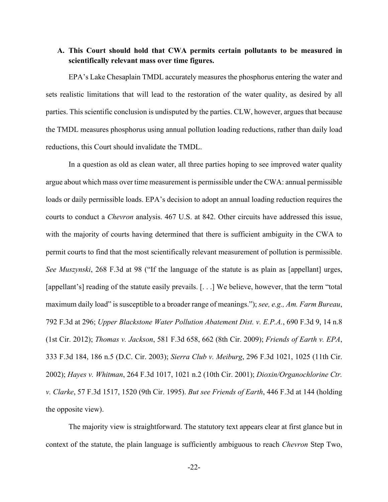## **A. This Court should hold that CWA permits certain pollutants to be measured in scientifically relevant mass over time figures.**

EPA's Lake Chesaplain TMDL accurately measures the phosphorus entering the water and sets realistic limitations that will lead to the restoration of the water quality, as desired by all parties. This scientific conclusion is undisputed by the parties. CLW, however, argues that because the TMDL measures phosphorus using annual pollution loading reductions, rather than daily load reductions, this Court should invalidate the TMDL.

In a question as old as clean water, all three parties hoping to see improved water quality argue about which mass over time measurement is permissible under the CWA: annual permissible loads or daily permissible loads. EPA's decision to adopt an annual loading reduction requires the courts to conduct a *Chevron* analysis. 467 U.S. at 842. Other circuits have addressed this issue, with the majority of courts having determined that there is sufficient ambiguity in the CWA to permit courts to find that the most scientifically relevant measurement of pollution is permissible. *See Muszynski*, 268 F.3d at 98 ("If the language of the statute is as plain as [appellant] urges, [appellant's] reading of the statute easily prevails. [...] We believe, however, that the term "total" maximum daily load" is susceptible to a broader range of meanings."); *see, e.g., Am. Farm Bureau*, 792 F.3d at 296; *Upper Blackstone Water Pollution Abatement Dist. v. E.P.A.*, 690 F.3d 9, 14 n.8 (1st Cir. 2012); *Thomas v. Jackson*, 581 F.3d 658, 662 (8th Cir. 2009); *Friends of Earth v. EPA*, 333 F.3d 184, 186 n.5 (D.C. Cir. 2003); *Sierra Club v. Meiburg*, 296 F.3d 1021, 1025 (11th Cir. 2002); *Hayes v. Whitman*, 264 F.3d 1017, 1021 n.2 (10th Cir. 2001); *Dioxin/Organochlorine Ctr. v. Clarke*, 57 F.3d 1517, 1520 (9th Cir. 1995). *But see Friends of Earth*, 446 F.3d at 144 (holding the opposite view).

The majority view is straightforward. The statutory text appears clear at first glance but in context of the statute, the plain language is sufficiently ambiguous to reach *Chevron* Step Two,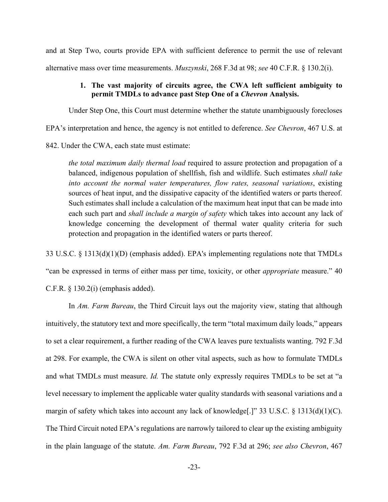and at Step Two, courts provide EPA with sufficient deference to permit the use of relevant alternative mass over time measurements. *Muszynski*, 268 F.3d at 98; *see* 40 C.F.R. § 130.2(i).

### **1. The vast majority of circuits agree, the CWA left sufficient ambiguity to permit TMDLs to advance past Step One of a** *Chevron* **Analysis.**

Under Step One, this Court must determine whether the statute unambiguously forecloses

EPA's interpretation and hence, the agency is not entitled to deference. *See Chevron*, 467 U.S. at

842. Under the CWA, each state must estimate:

*the total maximum daily thermal load* required to assure protection and propagation of a balanced, indigenous population of shellfish, fish and wildlife. Such estimates *shall take into account the normal water temperatures, flow rates, seasonal variations*, existing sources of heat input, and the dissipative capacity of the identified waters or parts thereof. Such estimates shall include a calculation of the maximum heat input that can be made into each such part and *shall include a margin of safety* which takes into account any lack of knowledge concerning the development of thermal water quality criteria for such protection and propagation in the identified waters or parts thereof.

33 U.S.C. § 1313(d)(1)(D) (emphasis added). EPA's implementing regulations note that TMDLs

"can be expressed in terms of either mass per time, toxicity, or other *appropriate* measure." 40

C.F.R. § 130.2(i) (emphasis added).

In *Am. Farm Bureau*, the Third Circuit lays out the majority view, stating that although intuitively, the statutory text and more specifically, the term "total maximum daily loads," appears to set a clear requirement, a further reading of the CWA leaves pure textualists wanting. 792 F.3d at 298. For example, the CWA is silent on other vital aspects, such as how to formulate TMDLs and what TMDLs must measure. *Id.* The statute only expressly requires TMDLs to be set at "a level necessary to implement the applicable water quality standards with seasonal variations and a margin of safety which takes into account any lack of knowledge<sup>[1]</sup>" 33 U.S.C. § 1313(d)(1)(C). The Third Circuit noted EPA's regulations are narrowly tailored to clear up the existing ambiguity in the plain language of the statute. *Am. Farm Bureau*, 792 F.3d at 296; *see also Chevron*, 467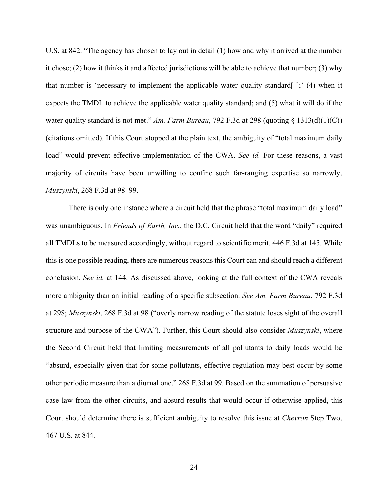U.S. at 842. "The agency has chosen to lay out in detail (1) how and why it arrived at the number it chose; (2) how it thinks it and affected jurisdictions will be able to achieve that number; (3) why that number is 'necessary to implement the applicable water quality standard  $|$ ; (4) when it expects the TMDL to achieve the applicable water quality standard; and (5) what it will do if the water quality standard is not met." *Am. Farm Bureau*, 792 F.3d at 298 (quoting § 1313(d)(1)(C)) (citations omitted). If this Court stopped at the plain text, the ambiguity of "total maximum daily load" would prevent effective implementation of the CWA. *See id.* For these reasons, a vast majority of circuits have been unwilling to confine such far-ranging expertise so narrowly. *Muszynski*, 268 F.3d at 98–99.

There is only one instance where a circuit held that the phrase "total maximum daily load" was unambiguous. In *Friends of Earth, Inc.*, the D.C. Circuit held that the word "daily" required all TMDLs to be measured accordingly, without regard to scientific merit. 446 F.3d at 145. While this is one possible reading, there are numerous reasons this Court can and should reach a different conclusion. *See id.* at 144. As discussed above, looking at the full context of the CWA reveals more ambiguity than an initial reading of a specific subsection. *See Am. Farm Bureau*, 792 F.3d at 298; *Muszynski*, 268 F.3d at 98 ("overly narrow reading of the statute loses sight of the overall structure and purpose of the CWA"). Further, this Court should also consider *Muszynski*, where the Second Circuit held that limiting measurements of all pollutants to daily loads would be "absurd, especially given that for some pollutants, effective regulation may best occur by some other periodic measure than a diurnal one." 268 F.3d at 99. Based on the summation of persuasive case law from the other circuits, and absurd results that would occur if otherwise applied, this Court should determine there is sufficient ambiguity to resolve this issue at *Chevron* Step Two. 467 U.S. at 844.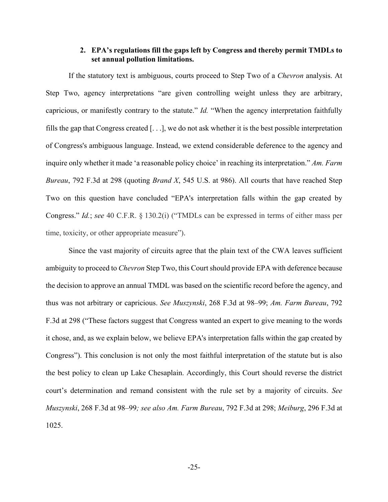### **2. EPA's regulations fill the gaps left by Congress and thereby permit TMDLs to set annual pollution limitations.**

If the statutory text is ambiguous, courts proceed to Step Two of a *Chevron* analysis. At Step Two, agency interpretations "are given controlling weight unless they are arbitrary, capricious, or manifestly contrary to the statute." *Id.* "When the agency interpretation faithfully fills the gap that Congress created [. . .], we do not ask whether it is the best possible interpretation of Congress's ambiguous language. Instead, we extend considerable deference to the agency and inquire only whether it made 'a reasonable policy choice' in reaching its interpretation." *Am. Farm Bureau*, 792 F.3d at 298 (quoting *Brand X*, 545 U.S. at 986). All courts that have reached Step Two on this question have concluded "EPA's interpretation falls within the gap created by Congress." *Id.*; *see* 40 C.F.R. § 130.2(i) ("TMDLs can be expressed in terms of either mass per time, toxicity, or other appropriate measure").

Since the vast majority of circuits agree that the plain text of the CWA leaves sufficient ambiguity to proceed to *Chevron* Step Two, this Court should provide EPA with deference because the decision to approve an annual TMDL was based on the scientific record before the agency, and thus was not arbitrary or capricious. *See Muszynski*, 268 F.3d at 98–99; *Am. Farm Bureau*, 792 F.3d at 298 ("These factors suggest that Congress wanted an expert to give meaning to the words it chose, and, as we explain below, we believe EPA's interpretation falls within the gap created by Congress"). This conclusion is not only the most faithful interpretation of the statute but is also the best policy to clean up Lake Chesaplain. Accordingly, this Court should reverse the district court's determination and remand consistent with the rule set by a majority of circuits. *See Muszynski*, 268 F.3d at 98–99*; see also Am. Farm Bureau*, 792 F.3d at 298; *Meiburg*, 296 F.3d at 1025.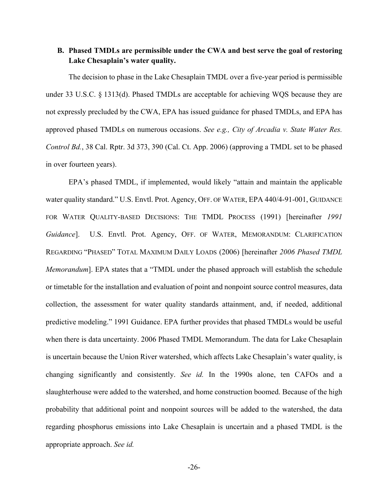## **B. Phased TMDLs are permissible under the CWA and best serve the goal of restoring Lake Chesaplain's water quality.**

The decision to phase in the Lake Chesaplain TMDL over a five-year period is permissible under 33 U.S.C. § 1313(d). Phased TMDLs are acceptable for achieving WQS because they are not expressly precluded by the CWA, EPA has issued guidance for phased TMDLs, and EPA has approved phased TMDLs on numerous occasions. *See e.g., City of Arcadia v. State Water Res. Control Bd.*, 38 Cal. Rptr. 3d 373, 390 (Cal. Ct. App. 2006) (approving a TMDL set to be phased in over fourteen years).

EPA's phased TMDL, if implemented, would likely "attain and maintain the applicable water quality standard." U.S. Envtl. Prot. Agency, OFF. OF WATER, EPA 440/4-91-001, GUIDANCE FOR WATER QUALITY-BASED DECISIONS: THE TMDL PROCESS (1991) [hereinafter *1991 Guidance*]. U.S. Envtl. Prot. Agency, OFF. OF WATER, MEMORANDUM: CLARIFICATION REGARDING "PHASED" TOTAL MAXIMUM DAILY LOADS (2006) [hereinafter *2006 Phased TMDL Memorandum*]. EPA states that a "TMDL under the phased approach will establish the schedule or timetable for the installation and evaluation of point and nonpoint source control measures, data collection, the assessment for water quality standards attainment, and, if needed, additional predictive modeling." 1991 Guidance. EPA further provides that phased TMDLs would be useful when there is data uncertainty. 2006 Phased TMDL Memorandum. The data for Lake Chesaplain is uncertain because the Union River watershed, which affects Lake Chesaplain's water quality, is changing significantly and consistently. *See id.* In the 1990s alone, ten CAFOs and a slaughterhouse were added to the watershed, and home construction boomed. Because of the high probability that additional point and nonpoint sources will be added to the watershed, the data regarding phosphorus emissions into Lake Chesaplain is uncertain and a phased TMDL is the appropriate approach. *See id.*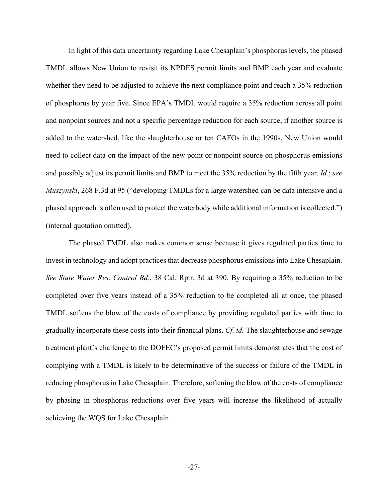In light of this data uncertainty regarding Lake Chesaplain's phosphorus levels, the phased TMDL allows New Union to revisit its NPDES permit limits and BMP each year and evaluate whether they need to be adjusted to achieve the next compliance point and reach a 35% reduction of phosphorus by year five. Since EPA's TMDL would require a 35% reduction across all point and nonpoint sources and not a specific percentage reduction for each source, if another source is added to the watershed, like the slaughterhouse or ten CAFOs in the 1990s, New Union would need to collect data on the impact of the new point or nonpoint source on phosphorus emissions and possibly adjust its permit limits and BMP to meet the 35% reduction by the fifth year. *Id.*; *see Muszynski*, 268 F.3d at 95 ("developing TMDLs for a large watershed can be data intensive and a phased approach is often used to protect the waterbody while additional information is collected.") (internal quotation omitted).

The phased TMDL also makes common sense because it gives regulated parties time to invest in technology and adopt practices that decrease phosphorus emissions into Lake Chesaplain. *See State Water Res. Control Bd.*, 38 Cal. Rptr. 3d at 390. By requiring a 35% reduction to be completed over five years instead of a 35% reduction to be completed all at once, the phased TMDL softens the blow of the costs of compliance by providing regulated parties with time to gradually incorporate these costs into their financial plans. *Cf. id.* The slaughterhouse and sewage treatment plant's challenge to the DOFEC's proposed permit limits demonstrates that the cost of complying with a TMDL is likely to be determinative of the success or failure of the TMDL in reducing phosphorus in Lake Chesaplain. Therefore, softening the blow of the costs of compliance by phasing in phosphorus reductions over five years will increase the likelihood of actually achieving the WQS for Lake Chesaplain.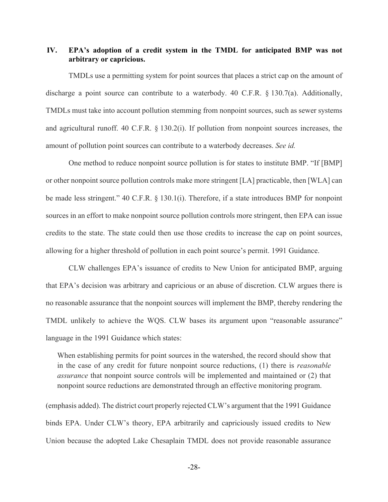## **IV. EPA's adoption of a credit system in the TMDL for anticipated BMP was not arbitrary or capricious.**

TMDLs use a permitting system for point sources that places a strict cap on the amount of discharge a point source can contribute to a waterbody. 40 C.F.R. § 130.7(a). Additionally, TMDLs must take into account pollution stemming from nonpoint sources, such as sewer systems and agricultural runoff. 40 C.F.R. § 130.2(i). If pollution from nonpoint sources increases, the amount of pollution point sources can contribute to a waterbody decreases. *See id.*

One method to reduce nonpoint source pollution is for states to institute BMP. "If [BMP] or other nonpoint source pollution controls make more stringent [LA] practicable, then [WLA] can be made less stringent." 40 C.F.R. § 130.1(i). Therefore, if a state introduces BMP for nonpoint sources in an effort to make nonpoint source pollution controls more stringent, then EPA can issue credits to the state. The state could then use those credits to increase the cap on point sources, allowing for a higher threshold of pollution in each point source's permit. 1991 Guidance.

CLW challenges EPA's issuance of credits to New Union for anticipated BMP, arguing that EPA's decision was arbitrary and capricious or an abuse of discretion. CLW argues there is no reasonable assurance that the nonpoint sources will implement the BMP, thereby rendering the TMDL unlikely to achieve the WQS. CLW bases its argument upon "reasonable assurance" language in the 1991 Guidance which states:

When establishing permits for point sources in the watershed, the record should show that in the case of any credit for future nonpoint source reductions, (1) there is *reasonable assurance* that nonpoint source controls will be implemented and maintained or (2) that nonpoint source reductions are demonstrated through an effective monitoring program.

(emphasis added). The district court properly rejected CLW's argument that the 1991 Guidance binds EPA. Under CLW's theory, EPA arbitrarily and capriciously issued credits to New Union because the adopted Lake Chesaplain TMDL does not provide reasonable assurance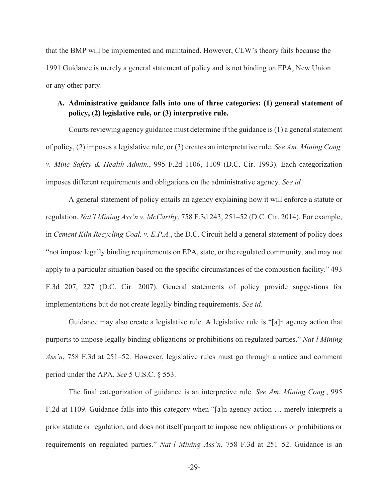that the BMP will be implemented and maintained. However, CLW's theory fails because the 1991 Guidance is merely a general statement of policy and is not binding on EPA, New Union or any other party.

## **A. Administrative guidance falls into one of three categories: (1) general statement of policy, (2) legislative rule, or (3) interpretive rule.**

Courts reviewing agency guidance must determine if the guidance is (1) a general statement of policy, (2) imposes a legislative rule, or (3) creates an interpretative rule. *See Am. Mining Cong. v. Mine Safety & Health Admin.*, 995 F.2d 1106, 1109 (D.C. Cir. 1993). Each categorization imposes different requirements and obligations on the administrative agency. *See id.*

A general statement of policy entails an agency explaining how it will enforce a statute or regulation. *Nat'l Mining Ass'n v. McCarthy*, 758 F.3d 243, 251–52 (D.C. Cir. 2014). For example, in *Cement Kiln Recycling Coal. v. E.P.A.*, the D.C. Circuit held a general statement of policy does "not impose legally binding requirements on EPA, state, or the regulated community, and may not apply to a particular situation based on the specific circumstances of the combustion facility." 493 F.3d 207, 227 (D.C. Cir. 2007). General statements of policy provide suggestions for implementations but do not create legally binding requirements. *See id.*

Guidance may also create a legislative rule. A legislative rule is "[a]n agency action that purports to impose legally binding obligations or prohibitions on regulated parties." *Nat'l Mining Ass'n*, 758 F.3d at 251–52. However, legislative rules must go through a notice and comment period under the APA. *See* 5 U.S.C. § 553.

The final categorization of guidance is an interpretive rule. *See Am. Mining Cong.*, 995 F.2d at 1109. Guidance falls into this category when "[a]n agency action … merely interprets a prior statute or regulation, and does not itself purport to impose new obligations or prohibitions or requirements on regulated parties." *Nat'l Mining Ass'n*, 758 F.3d at 251–52. Guidance is an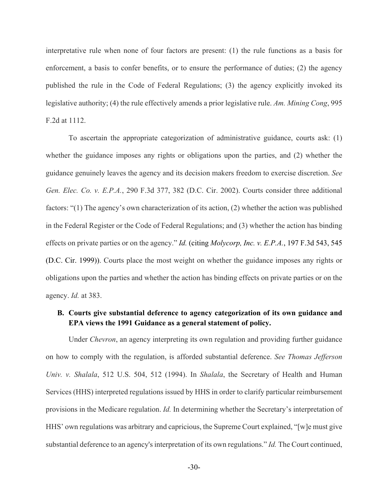interpretative rule when none of four factors are present: (1) the rule functions as a basis for enforcement, a basis to confer benefits, or to ensure the performance of duties; (2) the agency published the rule in the Code of Federal Regulations; (3) the agency explicitly invoked its legislative authority; (4) the rule effectively amends a prior legislative rule. *Am. Mining Cong*, 995 F.2d at 1112.

To ascertain the appropriate categorization of administrative guidance, courts ask: (1) whether the guidance imposes any rights or obligations upon the parties, and (2) whether the guidance genuinely leaves the agency and its decision makers freedom to exercise discretion. *See Gen. Elec. Co. v. E.P.A.*, 290 F.3d 377, 382 (D.C. Cir. 2002). Courts consider three additional factors: "(1) The agency's own characterization of its action, (2) whether the action was published in the Federal Register or the Code of Federal Regulations; and (3) whether the action has binding effects on private parties or on the agency." *Id.* (citing *Molycorp, Inc. v. E.P.A.*, 197 F.3d 543, 545 (D.C. Cir. 1999)). Courts place the most weight on whether the guidance imposes any rights or obligations upon the parties and whether the action has binding effects on private parties or on the agency. *Id.* at 383.

## **B. Courts give substantial deference to agency categorization of its own guidance and EPA views the 1991 Guidance as a general statement of policy.**

Under *Chevron*, an agency interpreting its own regulation and providing further guidance on how to comply with the regulation, is afforded substantial deference. *See Thomas Jefferson Univ. v. Shalala*, 512 U.S. 504, 512 (1994). In *Shalala*, the Secretary of Health and Human Services (HHS) interpreted regulations issued by HHS in order to clarify particular reimbursement provisions in the Medicare regulation. *Id.* In determining whether the Secretary's interpretation of HHS' own regulations was arbitrary and capricious, the Supreme Court explained, "[w]e must give substantial deference to an agency's interpretation of its own regulations." *Id.* The Court continued,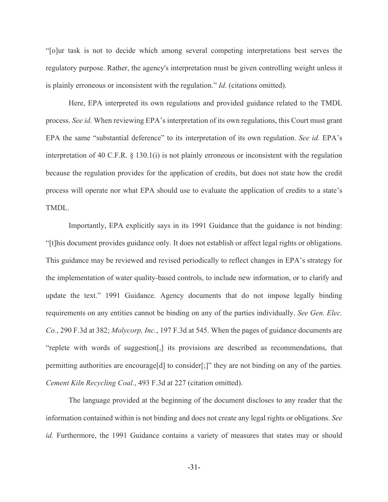"[o]ur task is not to decide which among several competing interpretations best serves the regulatory purpose. Rather, the agency's interpretation must be given controlling weight unless it is plainly erroneous or inconsistent with the regulation." *Id.* (citations omitted).

Here, EPA interpreted its own regulations and provided guidance related to the TMDL process. *See id.* When reviewing EPA's interpretation of its own regulations, this Court must grant EPA the same "substantial deference" to its interpretation of its own regulation. *See id.* EPA's interpretation of 40 C.F.R. § 130.1(i) is not plainly erroneous or inconsistent with the regulation because the regulation provides for the application of credits, but does not state how the credit process will operate nor what EPA should use to evaluate the application of credits to a state's TMDL.

Importantly, EPA explicitly says in its 1991 Guidance that the guidance is not binding: "[t]his document provides guidance only. It does not establish or affect legal rights or obligations. This guidance may be reviewed and revised periodically to reflect changes in EPA's strategy for the implementation of water quality-based controls, to include new information, or to clarify and update the text." 1991 Guidance. Agency documents that do not impose legally binding requirements on any entities cannot be binding on any of the parties individually. *See Gen. Elec. Co.*, 290 F.3d at 382; *Molycorp, Inc.*, 197 F.3d at 545. When the pages of guidance documents are "replete with words of suggestion[,] its provisions are described as recommendations, that permitting authorities are encourage[d] to consider[;]" they are not binding on any of the parties*. Cement Kiln Recycling Coal.*, 493 F.3d at 227 (citation omitted).

The language provided at the beginning of the document discloses to any reader that the information contained within is not binding and does not create any legal rights or obligations. *See id.* Furthermore, the 1991 Guidance contains a variety of measures that states may or should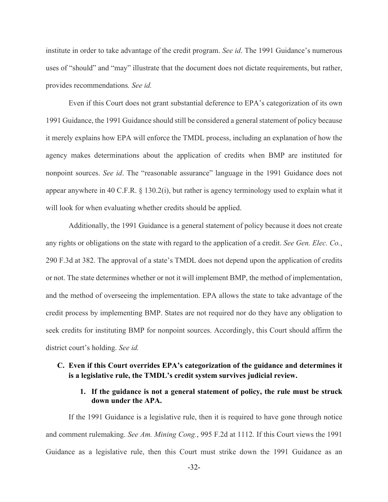institute in order to take advantage of the credit program. *See id*. The 1991 Guidance's numerous uses of "should" and "may" illustrate that the document does not dictate requirements, but rather, provides recommendations*. See id.*

Even if this Court does not grant substantial deference to EPA's categorization of its own 1991 Guidance, the 1991 Guidance should still be considered a general statement of policy because it merely explains how EPA will enforce the TMDL process, including an explanation of how the agency makes determinations about the application of credits when BMP are instituted for nonpoint sources. *See id*. The "reasonable assurance" language in the 1991 Guidance does not appear anywhere in 40 C.F.R. § 130.2(i), but rather is agency terminology used to explain what it will look for when evaluating whether credits should be applied.

Additionally, the 1991 Guidance is a general statement of policy because it does not create any rights or obligations on the state with regard to the application of a credit. *See Gen. Elec. Co.*, 290 F.3d at 382. The approval of a state's TMDL does not depend upon the application of credits or not. The state determines whether or not it will implement BMP, the method of implementation, and the method of overseeing the implementation. EPA allows the state to take advantage of the credit process by implementing BMP. States are not required nor do they have any obligation to seek credits for instituting BMP for nonpoint sources. Accordingly, this Court should affirm the district court's holding. *See id.*

## **C. Even if this Court overrides EPA's categorization of the guidance and determines it is a legislative rule, the TMDL's credit system survives judicial review.**

### **1. If the guidance is not a general statement of policy, the rule must be struck down under the APA.**

If the 1991 Guidance is a legislative rule, then it is required to have gone through notice and comment rulemaking. *See Am. Mining Cong.*, 995 F.2d at 1112. If this Court views the 1991 Guidance as a legislative rule, then this Court must strike down the 1991 Guidance as an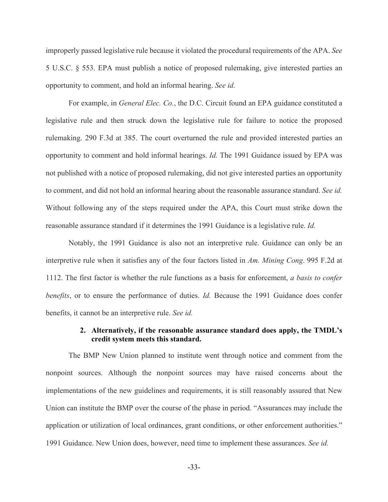improperly passed legislative rule because it violated the procedural requirements of the APA. *See* 5 U.S.C. § 553. EPA must publish a notice of proposed rulemaking, give interested parties an opportunity to comment, and hold an informal hearing. *See id.*

For example, in *General Elec. Co.*, the D.C. Circuit found an EPA guidance constituted a legislative rule and then struck down the legislative rule for failure to notice the proposed rulemaking. 290 F.3d at 385. The court overturned the rule and provided interested parties an opportunity to comment and hold informal hearings. *Id.* The 1991 Guidance issued by EPA was not published with a notice of proposed rulemaking, did not give interested parties an opportunity to comment, and did not hold an informal hearing about the reasonable assurance standard. *See id.* Without following any of the steps required under the APA, this Court must strike down the reasonable assurance standard if it determines the 1991 Guidance is a legislative rule. *Id.*

Notably, the 1991 Guidance is also not an interpretive rule. Guidance can only be an interpretive rule when it satisfies any of the four factors listed in *Am. Mining Cong*. 995 F.2d at 1112. The first factor is whether the rule functions as a basis for enforcement, *a basis to confer benefits*, or to ensure the performance of duties. *Id*. Because the 1991 Guidance does confer benefits, it cannot be an interpretive rule. *See id.* 

### **2. Alternatively, if the reasonable assurance standard does apply, the TMDL's credit system meets this standard.**

The BMP New Union planned to institute went through notice and comment from the nonpoint sources. Although the nonpoint sources may have raised concerns about the implementations of the new guidelines and requirements, it is still reasonably assured that New Union can institute the BMP over the course of the phase in period. "Assurances may include the application or utilization of local ordinances, grant conditions, or other enforcement authorities." 1991 Guidance. New Union does, however, need time to implement these assurances. *See id.*